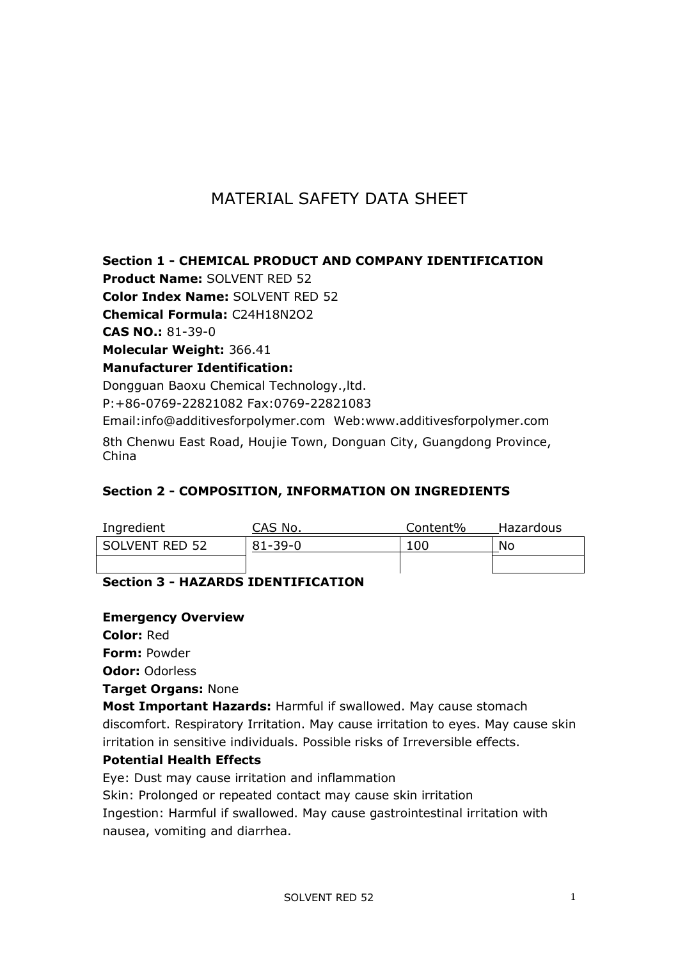# MATERIAL SAFETY DATA SHEET

**Section 1 - CHEMICAL PRODUCT AND COMPANY IDENTIFICATION**

**Product Name:** SOLVENT RED 52

**Color Index Name:** SOLVENT RED 52

**Chemical Formula:** C24H18N2O2

**CAS NO.:** 81-39-0

**Molecular Weight:** 366.41

**Manufacturer Identification:**

Dongguan Baoxu Chemical Technology.,ltd.

P:+86-0769-22821082 Fax:0769-22821083

Email:info@additivesforpolymer.com Web:www.additivesforpolymer.com 8th Chenwu East Road, Houjie Town, Donguan City, Guangdong Province, China

## **Section 2 - COMPOSITION, INFORMATION ON INGREDIENTS**

| Ingredient     | CAS No.       | Content% | Hazardous |
|----------------|---------------|----------|-----------|
| SOLVENT RED 52 | $81 - 39 - 0$ | 10C      | No        |
|                |               |          |           |

# **Section 3 - HAZARDS IDENTIFICATION**

#### **Emergency Overview**

**Color:** Red

**Form:** Powder

**Odor:** Odorless

**Target Organs:** None

**Most Important Hazards:** Harmful if swallowed. May cause stomach discomfort. Respiratory Irritation. May cause irritation to eyes. May cause skin irritation in sensitive individuals. Possible risks of Irreversible effects.

## **Potential Health Effects**

Eye: Dust may cause irritation and inflammation

Skin: Prolonged or repeated contact may cause skin irritation

Ingestion: Harmful if swallowed. May cause gastrointestinal irritation with nausea, vomiting and diarrhea.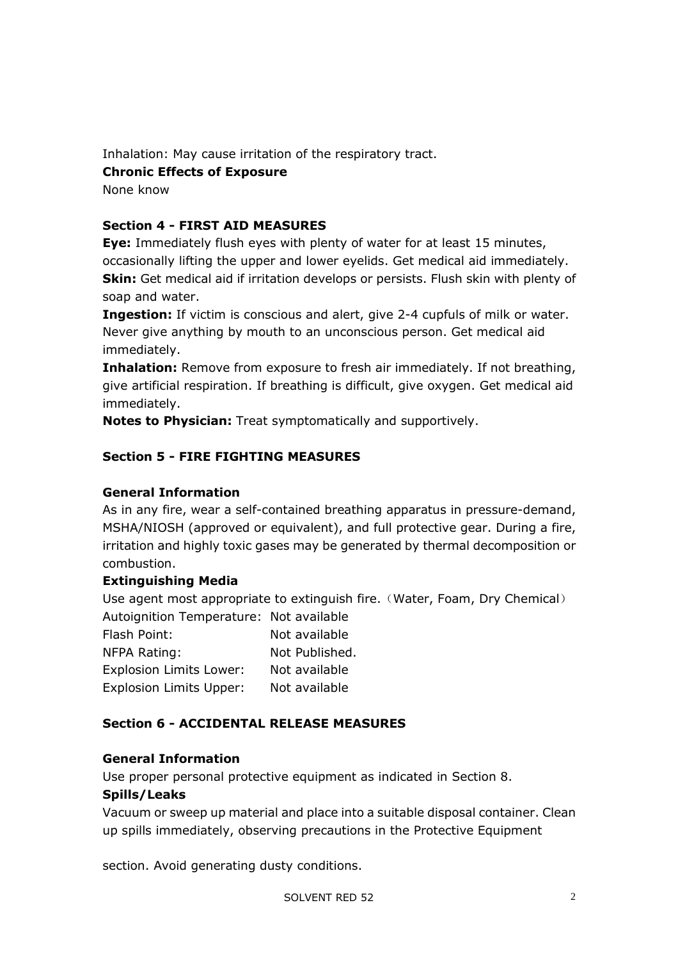Inhalation: May cause irritation of the respiratory tract.

# **Chronic Effects of Exposure**

None know

# **Section 4 - FIRST AID MEASURES**

**Eye:** Immediately flush eyes with plenty of water for at least 15 minutes, occasionally lifting the upper and lower eyelids. Get medical aid immediately. **Skin:** Get medical aid if irritation develops or persists. Flush skin with plenty of soap and water.

**Ingestion:** If victim is conscious and alert, give 2-4 cupfuls of milk or water. Never give anything by mouth to an unconscious person. Get medical aid immediately.

**Inhalation:** Remove from exposure to fresh air immediately. If not breathing, give artificial respiration. If breathing is difficult, give oxygen. Get medical aid immediately.

**Notes to Physician:** Treat symptomatically and supportively.

# **Section 5 - FIRE FIGHTING MEASURES**

## **General Information**

As in any fire, wear a self-contained breathing apparatus in pressure-demand, MSHA/NIOSH (approved or equivalent), and full protective gear. During a fire, irritation and highly toxic gases may be generated by thermal decomposition or combustion.

## **Extinguishing Media**

Use agent most appropriate to extinguish fire. (Water, Foam, Dry Chemical)

| Autoignition Temperature: Not available |                |  |
|-----------------------------------------|----------------|--|
| Flash Point:                            | Not available  |  |
| NFPA Rating:                            | Not Published. |  |
| <b>Explosion Limits Lower:</b>          | Not available  |  |
| <b>Explosion Limits Upper:</b>          | Not available  |  |

## **Section 6 - ACCIDENTAL RELEASE MEASURES**

## **General Information**

Use proper personal protective equipment as indicated in Section 8.

#### **Spills/Leaks**

Vacuum or sweep up material and place into a suitable disposal container. Clean up spills immediately, observing precautions in the Protective Equipment

section. Avoid generating dusty conditions.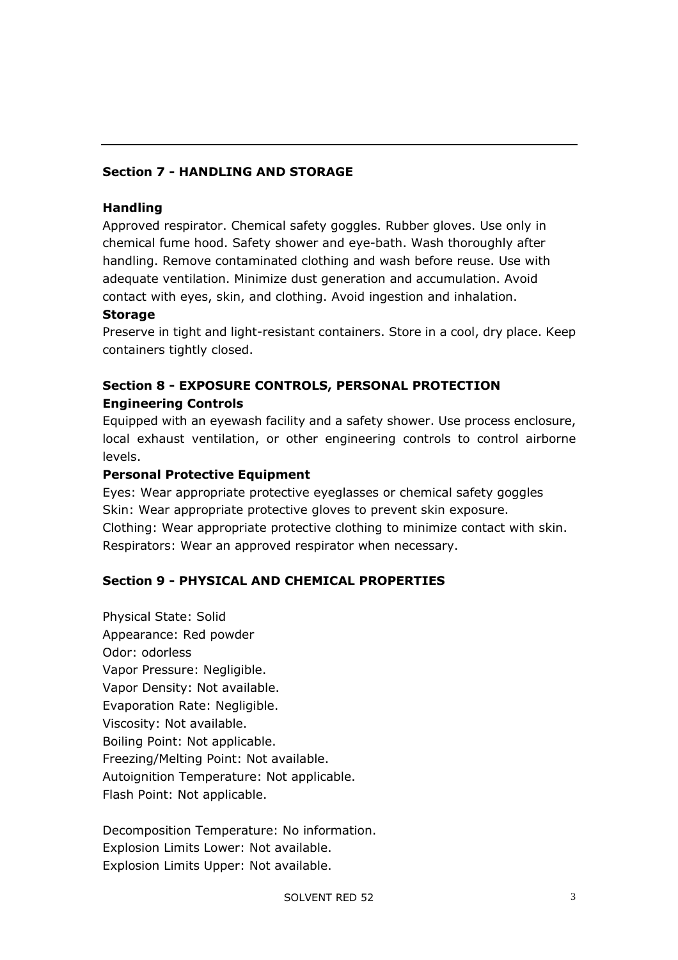# **Section 7 - HANDLING AND STORAGE**

#### **Handling**

Approved respirator. Chemical safety goggles. Rubber gloves. Use only in chemical fume hood. Safety shower and eye-bath. Wash thoroughly after handling. Remove contaminated clothing and wash before reuse. Use with adequate ventilation. Minimize dust generation and accumulation. Avoid contact with eyes, skin, and clothing. Avoid ingestion and inhalation.

#### **Storage**

Preserve in tight and light-resistant containers. Store in a cool, dry place. Keep containers tightly closed.

# **Section 8 - EXPOSURE CONTROLS, PERSONAL PROTECTION Engineering Controls**

Equipped with an eyewash facility and a safety shower. Use process enclosure, local exhaust ventilation, or other engineering controls to control airborne levels.

#### **Personal Protective Equipment**

Eyes: Wear appropriate protective eyeglasses or chemical safety goggles Skin: Wear appropriate protective gloves to prevent skin exposure. Clothing: Wear appropriate protective clothing to minimize contact with skin. Respirators: Wear an approved respirator when necessary.

## **Section 9 - PHYSICAL AND CHEMICAL PROPERTIES**

Physical State: Solid Appearance: Red powder Odor: odorless Vapor Pressure: Negligible. Vapor Density: Not available. Evaporation Rate: Negligible. Viscosity: Not available. Boiling Point: Not applicable. Freezing/Melting Point: Not available. Autoignition Temperature: Not applicable. Flash Point: Not applicable.

Decomposition Temperature: No information. Explosion Limits Lower: Not available. Explosion Limits Upper: Not available.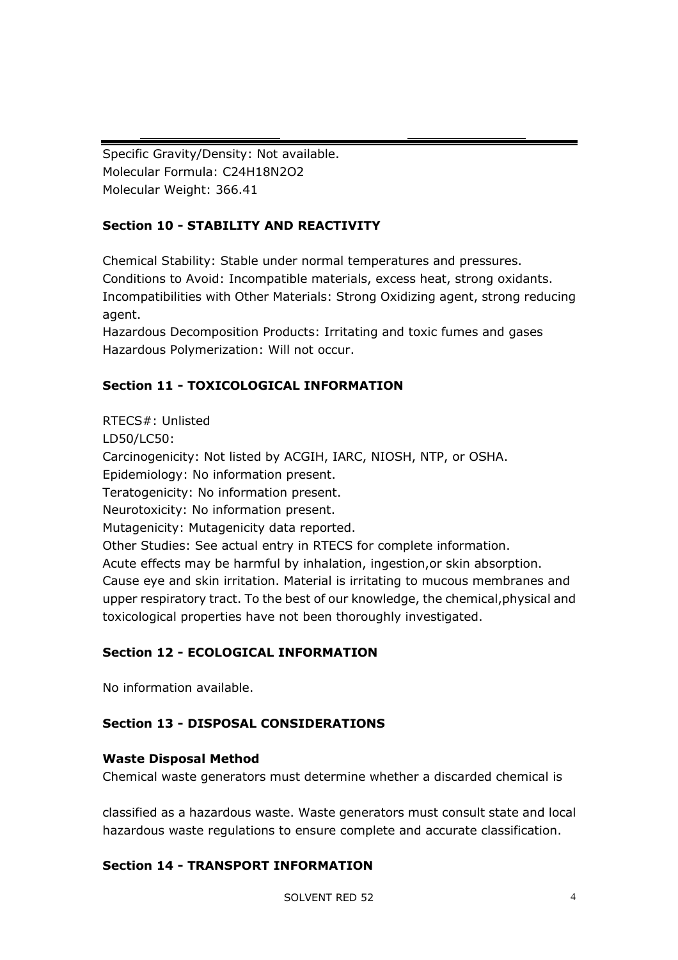Specific Gravity/Density: Not available. Molecular Formula: C24H18N2O2 Molecular Weight: 366.41

# **Section 10 - STABILITY AND REACTIVITY**

Chemical Stability: Stable under normal temperatures and pressures. Conditions to Avoid: Incompatible materials, excess heat, strong oxidants. Incompatibilities with Other Materials: Strong Oxidizing agent, strong reducing agent.

Hazardous Decomposition Products: Irritating and toxic fumes and gases Hazardous Polymerization: Will not occur.

# **Section 11 - TOXICOLOGICAL INFORMATION**

RTECS#: Unlisted LD50/LC50: Carcinogenicity: Not listed by ACGIH, IARC, NIOSH, NTP, or OSHA. Epidemiology: No information present. Teratogenicity: No information present. Neurotoxicity: No information present. Mutagenicity: Mutagenicity data reported. Other Studies: See actual entry in RTECS for complete information. Acute effects may be harmful by inhalation, ingestion,or skin absorption. Cause eye and skin irritation. Material is irritating to mucous membranes and upper respiratory tract. To the best of our knowledge, the chemical,physical and toxicological properties have not been thoroughly investigated.

# **Section 12 - ECOLOGICAL INFORMATION**

No information available.

# **Section 13 - DISPOSAL CONSIDERATIONS**

## **Waste Disposal Method**

Chemical waste generators must determine whether a discarded chemical is

classified as a hazardous waste. Waste generators must consult state and local hazardous waste regulations to ensure complete and accurate classification.

## **Section 14 - TRANSPORT INFORMATION**

SOLVENT RED 52 4